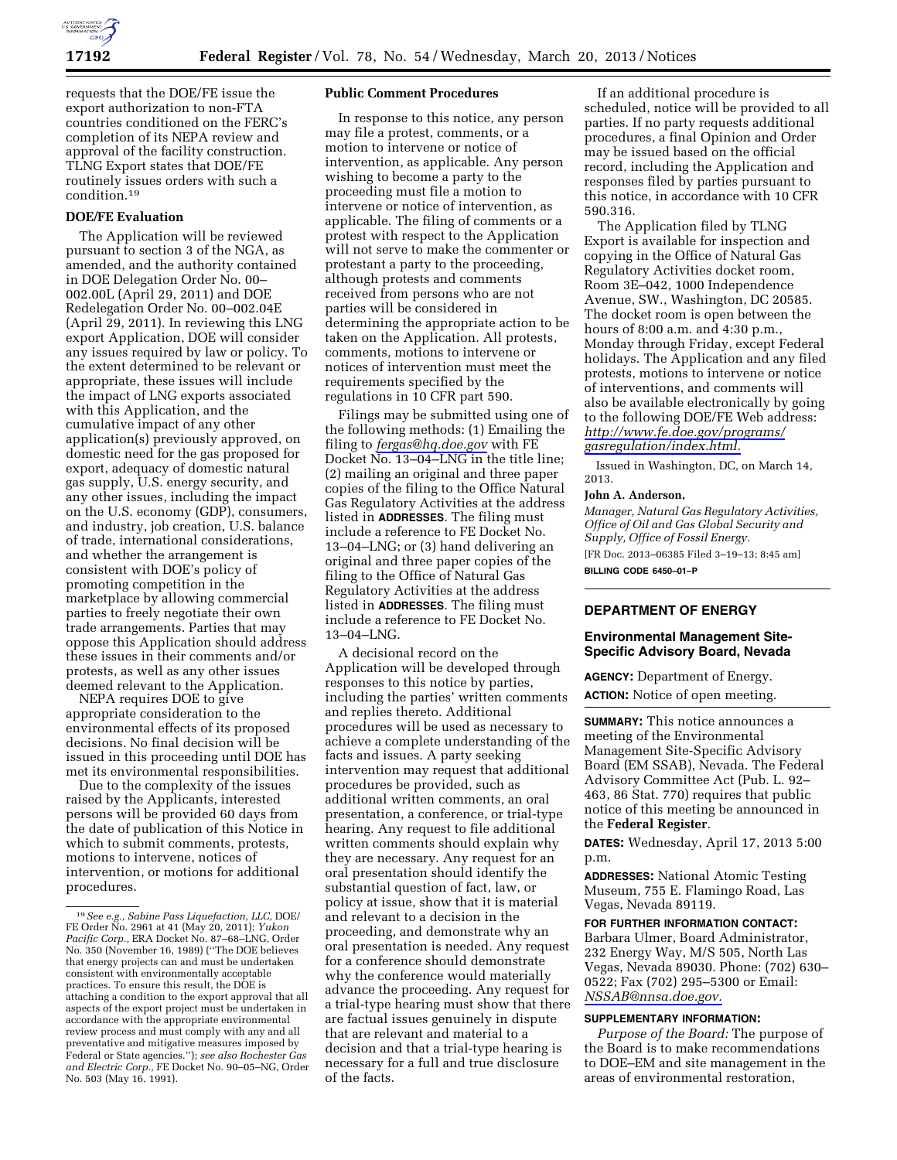

requests that the DOE/FE issue the export authorization to non-FTA countries conditioned on the FERC's completion of its NEPA review and approval of the facility construction. TLNG Export states that DOE/FE routinely issues orders with such a condition.19

## **DOE/FE Evaluation**

The Application will be reviewed pursuant to section 3 of the NGA, as amended, and the authority contained in DOE Delegation Order No. 00– 002.00L (April 29, 2011) and DOE Redelegation Order No. 00–002.04E (April 29, 2011). In reviewing this LNG export Application, DOE will consider any issues required by law or policy. To the extent determined to be relevant or appropriate, these issues will include the impact of LNG exports associated with this Application, and the cumulative impact of any other application(s) previously approved, on domestic need for the gas proposed for export, adequacy of domestic natural gas supply, U.S. energy security, and any other issues, including the impact on the U.S. economy (GDP), consumers, and industry, job creation, U.S. balance of trade, international considerations, and whether the arrangement is consistent with DOE's policy of promoting competition in the marketplace by allowing commercial parties to freely negotiate their own trade arrangements. Parties that may oppose this Application should address these issues in their comments and/or protests, as well as any other issues deemed relevant to the Application.

NEPA requires DOE to give appropriate consideration to the environmental effects of its proposed decisions. No final decision will be issued in this proceeding until DOE has met its environmental responsibilities.

Due to the complexity of the issues raised by the Applicants, interested persons will be provided 60 days from the date of publication of this Notice in which to submit comments, protests, motions to intervene, notices of intervention, or motions for additional procedures.

#### **Public Comment Procedures**

In response to this notice, any person may file a protest, comments, or a motion to intervene or notice of intervention, as applicable. Any person wishing to become a party to the proceeding must file a motion to intervene or notice of intervention, as applicable. The filing of comments or a protest with respect to the Application will not serve to make the commenter or protestant a party to the proceeding, although protests and comments received from persons who are not parties will be considered in determining the appropriate action to be taken on the Application. All protests, comments, motions to intervene or notices of intervention must meet the requirements specified by the regulations in 10 CFR part 590.

Filings may be submitted using one of the following methods: (1) Emailing the filing to *[fergas@hq.doe.gov](mailto:fergas@hq.doe.gov)* with FE Docket No. 13–04–LNG in the title line; (2) mailing an original and three paper copies of the filing to the Office Natural Gas Regulatory Activities at the address listed in **ADDRESSES**. The filing must include a reference to FE Docket No. 13–04–LNG; or (3) hand delivering an original and three paper copies of the filing to the Office of Natural Gas Regulatory Activities at the address listed in **ADDRESSES**. The filing must include a reference to FE Docket No. 13–04–LNG.

A decisional record on the Application will be developed through responses to this notice by parties, including the parties' written comments and replies thereto. Additional procedures will be used as necessary to achieve a complete understanding of the facts and issues. A party seeking intervention may request that additional procedures be provided, such as additional written comments, an oral presentation, a conference, or trial-type hearing. Any request to file additional written comments should explain why they are necessary. Any request for an oral presentation should identify the substantial question of fact, law, or policy at issue, show that it is material and relevant to a decision in the proceeding, and demonstrate why an oral presentation is needed. Any request for a conference should demonstrate why the conference would materially advance the proceeding. Any request for a trial-type hearing must show that there are factual issues genuinely in dispute that are relevant and material to a decision and that a trial-type hearing is necessary for a full and true disclosure of the facts.

If an additional procedure is scheduled, notice will be provided to all parties. If no party requests additional procedures, a final Opinion and Order may be issued based on the official record, including the Application and responses filed by parties pursuant to this notice, in accordance with 10 CFR 590.316.

The Application filed by TLNG Export is available for inspection and copying in the Office of Natural Gas Regulatory Activities docket room, Room 3E–042, 1000 Independence Avenue, SW., Washington, DC 20585. The docket room is open between the hours of 8:00 a.m. and 4:30 p.m., Monday through Friday, except Federal holidays. The Application and any filed protests, motions to intervene or notice of interventions, and comments will also be available electronically by going to the following DOE/FE Web address: *[http://www.fe.doe.gov/programs/](http://www.fe.doe.gov/programs/gasregulation/index.html) [gasregulation/index.html.](http://www.fe.doe.gov/programs/gasregulation/index.html)* 

Issued in Washington, DC, on March 14, 2013.

#### **John A. Anderson,**

*Manager, Natural Gas Regulatory Activities, Office of Oil and Gas Global Security and Supply, Office of Fossil Energy.*  [FR Doc. 2013–06385 Filed 3–19–13; 8:45 am] **BILLING CODE 6450–01–P** 

# **DEPARTMENT OF ENERGY**

## **Environmental Management Site-Specific Advisory Board, Nevada**

**AGENCY:** Department of Energy.

**ACTION:** Notice of open meeting.

**SUMMARY:** This notice announces a meeting of the Environmental Management Site-Specific Advisory Board (EM SSAB), Nevada. The Federal Advisory Committee Act (Pub. L. 92– 463, 86 Stat. 770) requires that public notice of this meeting be announced in the **Federal Register**.

**DATES:** Wednesday, April 17, 2013 5:00 p.m.

**ADDRESSES:** National Atomic Testing Museum, 755 E. Flamingo Road, Las Vegas, Nevada 89119.

#### **FOR FURTHER INFORMATION CONTACT:**

Barbara Ulmer, Board Administrator, 232 Energy Way, M/S 505, North Las Vegas, Nevada 89030. Phone: (702) 630– 0522; Fax (702) 295–5300 or Email: *[NSSAB@nnsa.doe.gov.](mailto:NSSAB@nnsa.doe.gov)* 

#### **SUPPLEMENTARY INFORMATION:**

*Purpose of the Board:* The purpose of the Board is to make recommendations to DOE–EM and site management in the areas of environmental restoration,

<sup>19</sup>*See e.g., Sabine Pass Liquefaction, LLC,* DOE/ FE Order No. 2961 at 41 (May 20, 2011); *Yukon Pacific Corp.,* ERA Docket No. 87–68–LNG, Order No. 350 (November 16, 1989) (''The DOE believes that energy projects can and must be undertaken consistent with environmentally acceptable practices. To ensure this result, the DOE is attaching a condition to the export approval that all aspects of the export project must be undertaken in accordance with the appropriate environmental review process and must comply with any and all preventative and mitigative measures imposed by Federal or State agencies.''); *see also Rochester Gas and Electric Corp.,* FE Docket No. 90–05–NG, Order No. 503 (May 16, 1991).